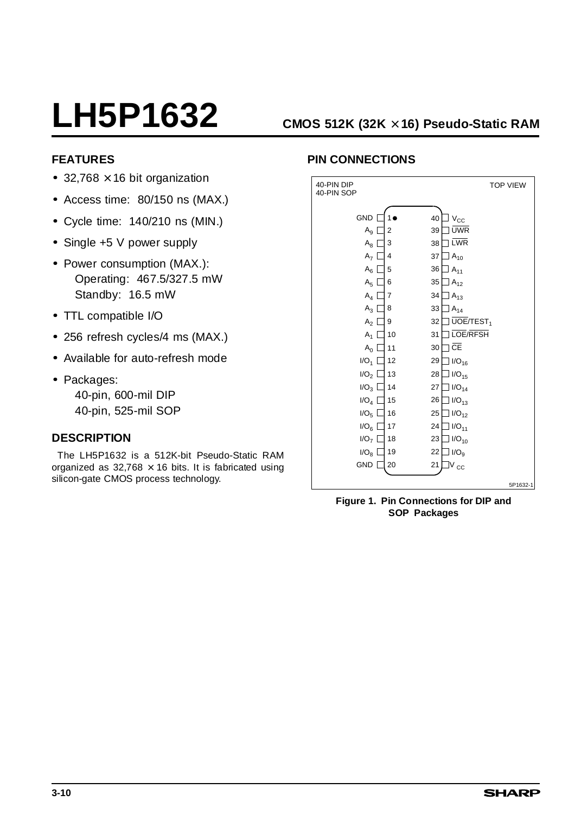# **LH5P1632 CMOS 512K (32K** × **16) Pseudo-Static RAM**

### **FEATURES**

- 32,768  $\times$  16 bit organization
- Access time: 80/150 ns (MAX.)
- Cycle time: 140/210 ns (MIN.)
- Single +5 V power supply
- Power consumption (MAX.): Operating: 467.5/327.5 mW Standby: 16.5 mW
- TTL compatible I/O
- 256 refresh cycles/4 ms (MAX.)
- Available for auto-refresh mode
- Packages: 40-pin, 600-mil DIP

40-pin, 525-mil SOP

### **DESCRIPTION**

The LH5P1632 is a 512K-bit Pseudo-Static RAM organized as  $32,768 \times 16$  bits. It is fabricated using silicon-gate CMOS process technology.

## **PIN CONNECTIONS**

| 40-PIN DIP<br>40-PIN SOP            |                     | <b>TOP VIEW</b>                                            |
|-------------------------------------|---------------------|------------------------------------------------------------|
| GND                                 |                     | 40<br>$V_{\rm CC}$<br><b>UWR</b>                           |
| $\mathsf{A}_9$<br>$\mathsf{A}_8$    | $\overline{2}$<br>3 | 39<br><b>LWR</b><br>38                                     |
| A <sub>7</sub><br>$A_6$             | 4<br>5              | 37<br>$A_{10}$<br>36<br>$A_{11}$                           |
| A <sub>5</sub>                      | 6                   | 35<br>$A_{12}$                                             |
| $A_4$<br>$A_3$                      | 7<br>8              | 34<br>$A_{13}$<br>33<br>$A_{14}$                           |
| A <sub>2</sub><br>$A_1$             | 9<br>10             | $\overline{UOE/TEST}$ <sub>1</sub><br>32<br>LOE/RFSH<br>31 |
| $A_0$                               | 11                  | CE<br>30                                                   |
| $I/O_1$<br>I/O <sub>2</sub>         | 12<br>13            | 29<br>$I/O_{16}$<br>28<br>$I/O_{15}$                       |
| I/O <sub>3</sub><br>$I/O_4$         | 14<br>15            | 27<br>$I/O_{14}$<br>26<br>$I/O_{13}$                       |
| I/O <sub>5</sub>                    | 16                  | 25<br>$I/O_{12}$                                           |
| IO <sub>6</sub><br>I/O <sub>7</sub> | 17<br>18            | 24<br>$I/O_{11}$<br>23<br>$I/O_{10}$                       |
| I/O <sub>8</sub><br><b>GND</b>      | 19<br>20            | 22<br>I/O <sub>9</sub><br>21<br>$\rm V_{CC}$               |
|                                     |                     | 5P1632-1                                                   |

**Figure 1. Pin Connections for DIP and SOP Packages**